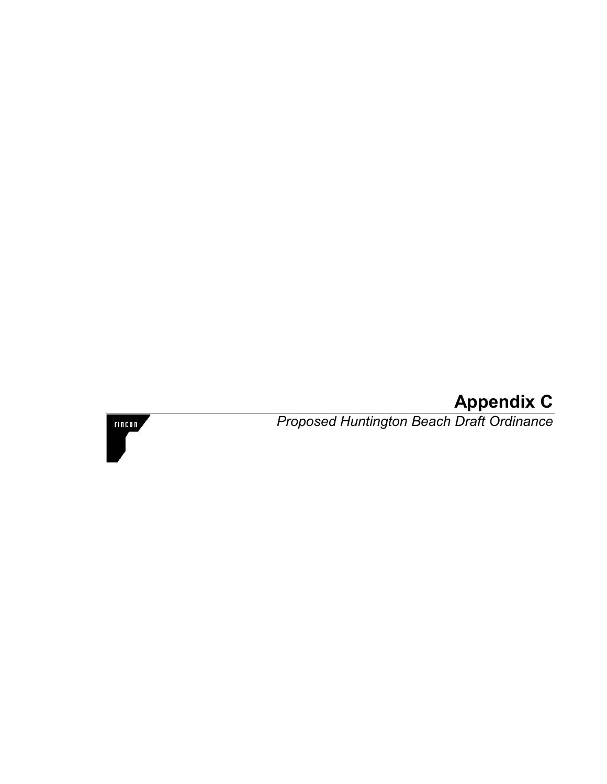# **Appendix C**



*Proposed Huntington Beach Draft Ordinance*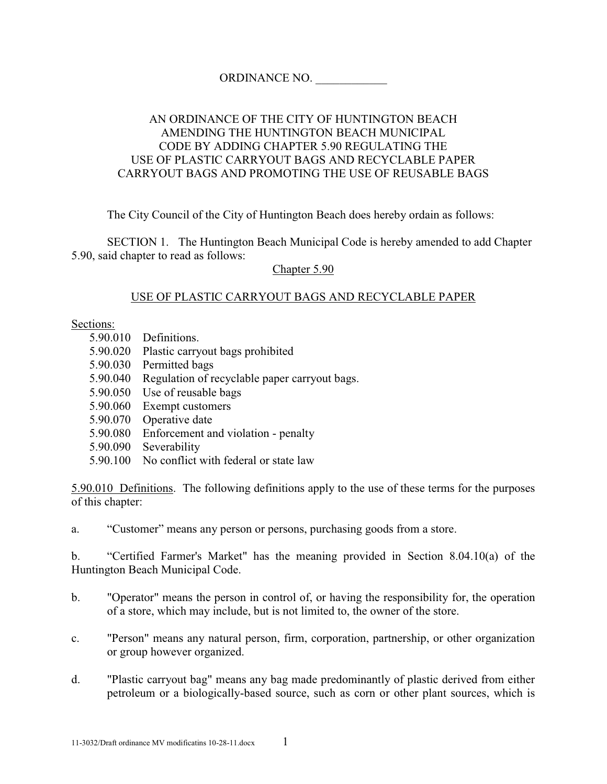## ORDINANCE NO. \_\_\_\_\_\_\_\_\_\_\_\_

## AN ORDINANCE OF THE CITY OF HUNTINGTON BEACH AMENDING THE HUNTINGTON BEACH MUNICIPAL CODE BY ADDING CHAPTER 5.90 REGULATING THE USE OF PLASTIC CARRYOUT BAGS AND RECYCLABLE PAPER CARRYOUT BAGS AND PROMOTING THE USE OF REUSABLE BAGS

The City Council of the City of Huntington Beach does hereby ordain as follows:

 SECTION 1. The Huntington Beach Municipal Code is hereby amended to add Chapter 5.90, said chapter to read as follows:

Chapter 5.90

## USE OF PLASTIC CARRYOUT BAGS AND RECYCLABLE PAPER

Sections:

- 5.90.010 Definitions.
- 5.90.020 Plastic carryout bags prohibited
- 5.90.030 Permitted bags
- 5.90.040 Regulation of recyclable paper carryout bags.
- 5.90.050 Use of reusable bags
- 5.90.060 Exempt customers
- 5.90.070 Operative date
- 5.90.080 Enforcement and violation penalty
- 5.90.090 Severability
- 5.90.100 No conflict with federal or state law

5.90.010 Definitions. The following definitions apply to the use of these terms for the purposes of this chapter:

a. "Customer" means any person or persons, purchasing goods from a store.

b. "Certified Farmer's Market" has the meaning provided in Section 8.04.10(a) of the Huntington Beach Municipal Code.

- b. "Operator" means the person in control of, or having the responsibility for, the operation of a store, which may include, but is not limited to, the owner of the store.
- c. "Person" means any natural person, firm, corporation, partnership, or other organization or group however organized.
- d. "Plastic carryout bag" means any bag made predominantly of plastic derived from either petroleum or a biologically-based source, such as corn or other plant sources, which is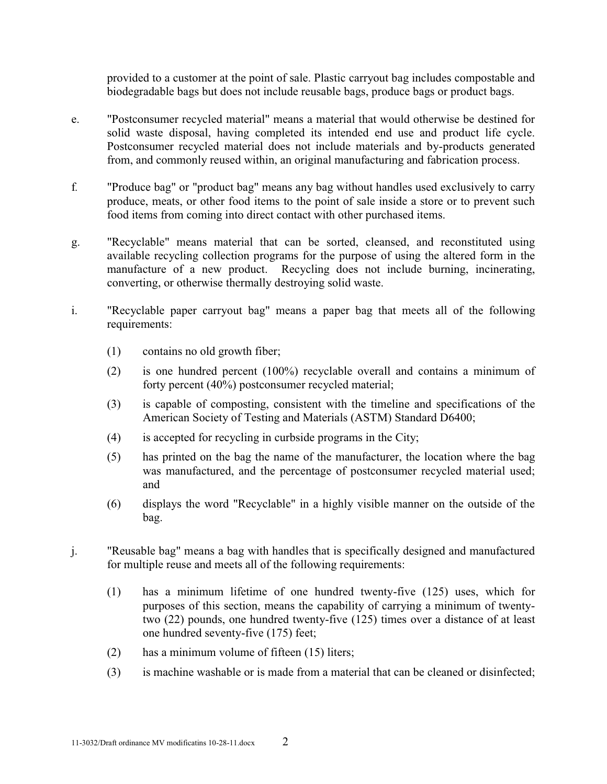provided to a customer at the point of sale. Plastic carryout bag includes compostable and biodegradable bags but does not include reusable bags, produce bags or product bags.

- e. "Postconsumer recycled material" means a material that would otherwise be destined for solid waste disposal, having completed its intended end use and product life cycle. Postconsumer recycled material does not include materials and by-products generated from, and commonly reused within, an original manufacturing and fabrication process.
- <sup>f</sup>*.* "Produce bag" or "product bag" means any bag without handles used exclusively to carry produce, meats, or other food items to the point of sale inside a store or to prevent such food items from coming into direct contact with other purchased items.
- g. "Recyclable" means material that can be sorted, cleansed, and reconstituted using available recycling collection programs for the purpose of using the altered form in the manufacture of a new product. Recycling does not include burning, incinerating, converting, or otherwise thermally destroying solid waste.
- i. "Recyclable paper carryout bag" means a paper bag that meets all of the following requirements:
	- (1) contains no old growth fiber;
	- (2) is one hundred percent (100%) recyclable overall and contains a minimum of forty percent (40%) postconsumer recycled material;
	- (3) is capable of composting, consistent with the timeline and specifications of the American Society of Testing and Materials (ASTM) Standard D6400;
	- (4) is accepted for recycling in curbside programs in the City;
	- (5) has printed on the bag the name of the manufacturer, the location where the bag was manufactured, and the percentage of postconsumer recycled material used; and
	- (6) displays the word "Recyclable" in a highly visible manner on the outside of the bag.
- j. "Reusable bag" means a bag with handles that is specifically designed and manufactured for multiple reuse and meets all of the following requirements:
	- (1) has a minimum lifetime of one hundred twenty-five (125) uses, which for purposes of this section, means the capability of carrying a minimum of twentytwo (22) pounds, one hundred twenty-five (125) times over a distance of at least one hundred seventy-five (175) feet;
	- (2) has a minimum volume of fifteen (15) liters;
	- (3) is machine washable or is made from a material that can be cleaned or disinfected;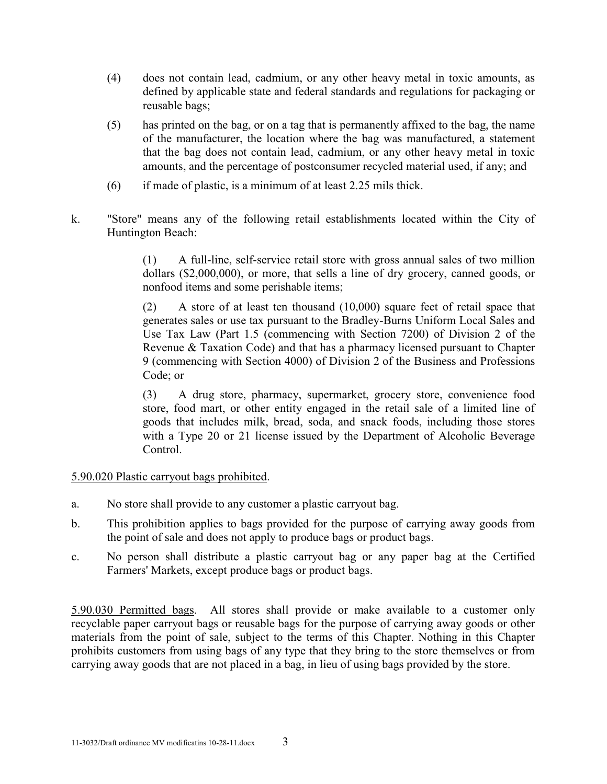- (4) does not contain lead, cadmium, or any other heavy metal in toxic amounts, as defined by applicable state and federal standards and regulations for packaging or reusable bags;
- (5) has printed on the bag, or on a tag that is permanently affixed to the bag, the name of the manufacturer, the location where the bag was manufactured, a statement that the bag does not contain lead, cadmium, or any other heavy metal in toxic amounts, and the percentage of postconsumer recycled material used, if any; and
- (6) if made of plastic, is a minimum of at least 2.25 mils thick.
- k. "Store" means any of the following retail establishments located within the City of Huntington Beach:

 (1) A full-line, self-service retail store with gross annual sales of two million dollars (\$2,000,000), or more, that sells a line of dry grocery, canned goods, or nonfood items and some perishable items;

 (2) A store of at least ten thousand (10,000) square feet of retail space that generates sales or use tax pursuant to the Bradley-Burns Uniform Local Sales and Use Tax Law (Part 1.5 (commencing with Section 7200) of Division 2 of the Revenue & Taxation Code) and that has a pharmacy licensed pursuant to Chapter 9 (commencing with Section 4000) of Division 2 of the Business and Professions Code; or

 (3) A drug store, pharmacy, supermarket, grocery store, convenience food store, food mart, or other entity engaged in the retail sale of a limited line of goods that includes milk, bread, soda, and snack foods, including those stores with a Type 20 or 21 license issued by the Department of Alcoholic Beverage Control.

#### 5.90.020 Plastic carryout bags prohibited.

- a. No store shall provide to any customer a plastic carryout bag.
- b. This prohibition applies to bags provided for the purpose of carrying away goods from the point of sale and does not apply to produce bags or product bags.
- c. No person shall distribute a plastic carryout bag or any paper bag at the Certified Farmers' Markets, except produce bags or product bags.

5.90.030 Permitted bags. All stores shall provide or make available to a customer only recyclable paper carryout bags or reusable bags for the purpose of carrying away goods or other materials from the point of sale, subject to the terms of this Chapter. Nothing in this Chapter prohibits customers from using bags of any type that they bring to the store themselves or from carrying away goods that are not placed in a bag, in lieu of using bags provided by the store.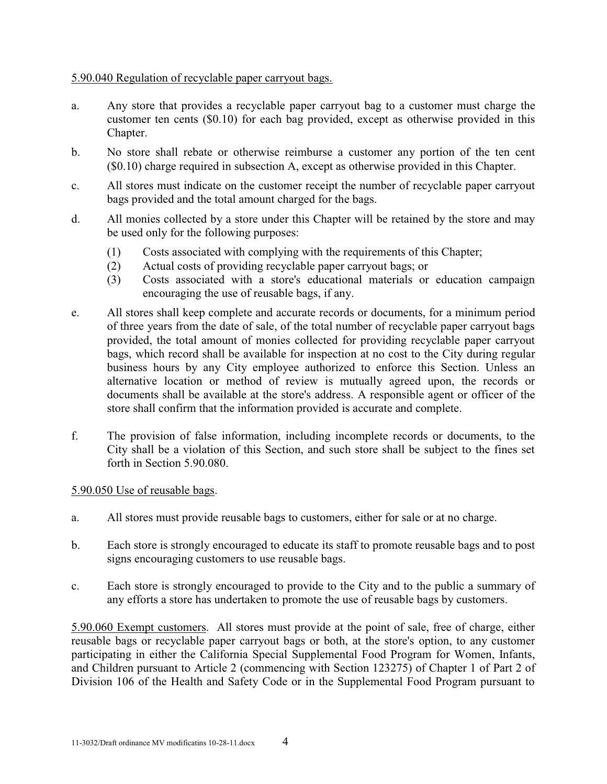## 5.90.040 Regulation of recyclable paper carryout bags.

- a. Any store that provides a recyclable paper carryout bag to a customer must charge the customer ten cents (\$0.10) for each bag provided, except as otherwise provided in this Chapter.
- b. No store shall rebate or otherwise reimburse a customer any portion of the ten cent (\$0.10) charge required in subsection A, except as otherwise provided in this Chapter.
- c. All stores must indicate on the customer receipt the number of recyclable paper carryout bags provided and the total amount charged for the bags.
- d. All monies collected by a store under this Chapter will be retained by the store and may be used only for the following purposes:
	- (1) Costs associated with complying with the requirements of this Chapter;
	- (2) Actual costs of providing recyclable paper carryout bags; or
	- (3) Costs associated with a store's educational materials or education campaign encouraging the use of reusable bags, if any.
- e. All stores shall keep complete and accurate records or documents, for a minimum period of three years from the date of sale, of the total number of recyclable paper carryout bags provided, the total amount of monies collected for providing recyclable paper carryout bags, which record shall be available for inspection at no cost to the City during regular business hours by any City employee authorized to enforce this Section. Unless an alternative location or method of review is mutually agreed upon, the records or documents shall be available at the store's address. A responsible agent or officer of the store shall confirm that the information provided is accurate and complete.
- f. The provision of false information, including incomplete records or documents, to the City shall be a violation of this Section, and such store shall be subject to the fines set forth in Section 5.90.080.

#### 5.90.050 Use of reusable bags.

- a. All stores must provide reusable bags to customers, either for sale or at no charge.
- b. Each store is strongly encouraged to educate its staff to promote reusable bags and to post signs encouraging customers to use reusable bags.
- c. Each store is strongly encouraged to provide to the City and to the public a summary of any efforts a store has undertaken to promote the use of reusable bags by customers.

5.90.060 Exempt customers. All stores must provide at the point of sale, free of charge, either reusable bags or recyclable paper carryout bags or both, at the store's option, to any customer participating in either the California Special Supplemental Food Program for Women, Infants, and Children pursuant to Article 2 (commencing with Section 123275) of Chapter 1 of Part 2 of Division 106 of the Health and Safety Code or in the Supplemental Food Program pursuant to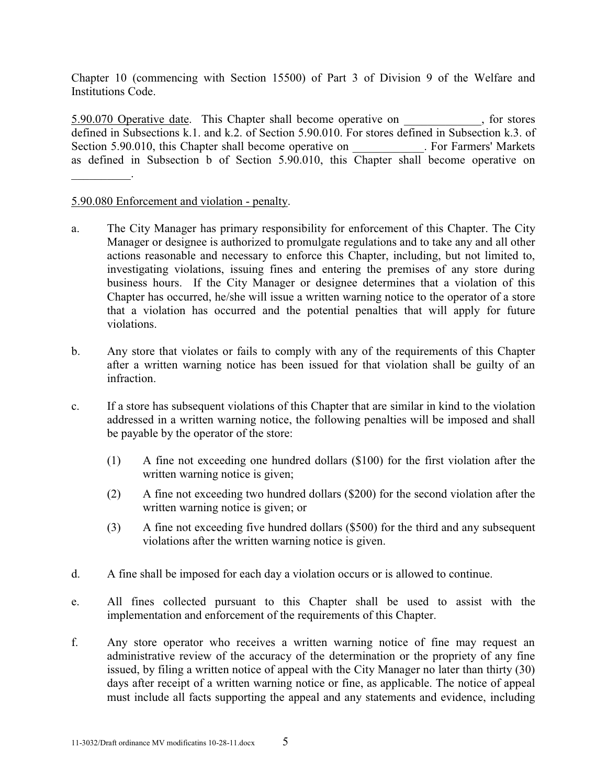Chapter 10 (commencing with Section 15500) of Part 3 of Division 9 of the Welfare and Institutions Code.

5.90.070 Operative date. This Chapter shall become operative on \_\_\_\_\_\_\_\_\_\_\_\_\_, for stores defined in Subsections k.1. and k.2. of Section 5.90.010. For stores defined in Subsection k.3. of Section 5.90.010, this Chapter shall become operative on . For Farmers' Markets as defined in Subsection b of Section 5.90.010, this Chapter shall become operative on  $\overline{\phantom{a}}$  . The set of  $\overline{\phantom{a}}$  ,  $\overline{\phantom{a}}$ 

## 5.90.080 Enforcement and violation - penalty.

- a. The City Manager has primary responsibility for enforcement of this Chapter. The City Manager or designee is authorized to promulgate regulations and to take any and all other actions reasonable and necessary to enforce this Chapter, including, but not limited to, investigating violations, issuing fines and entering the premises of any store during business hours. If the City Manager or designee determines that a violation of this Chapter has occurred, he/she will issue a written warning notice to the operator of a store that a violation has occurred and the potential penalties that will apply for future violations.
- b. Any store that violates or fails to comply with any of the requirements of this Chapter after a written warning notice has been issued for that violation shall be guilty of an infraction.
- c. If a store has subsequent violations of this Chapter that are similar in kind to the violation addressed in a written warning notice, the following penalties will be imposed and shall be payable by the operator of the store:
	- (1) A fine not exceeding one hundred dollars (\$100) for the first violation after the written warning notice is given;
	- (2) A fine not exceeding two hundred dollars (\$200) for the second violation after the written warning notice is given; or
	- (3)A fine not exceeding five hundred dollars (\$500) for the third and any subsequent violations after the written warning notice is given.
- d. A fine shall be imposed for each day a violation occurs or is allowed to continue.
- e. All fines collected pursuant to this Chapter shall be used to assist with the implementation and enforcement of the requirements of this Chapter.
- f. Any store operator who receives a written warning notice of fine may request an administrative review of the accuracy of the determination or the propriety of any fine issued, by filing a written notice of appeal with the City Manager no later than thirty (30) days after receipt of a written warning notice or fine, as applicable. The notice of appeal must include all facts supporting the appeal and any statements and evidence, including